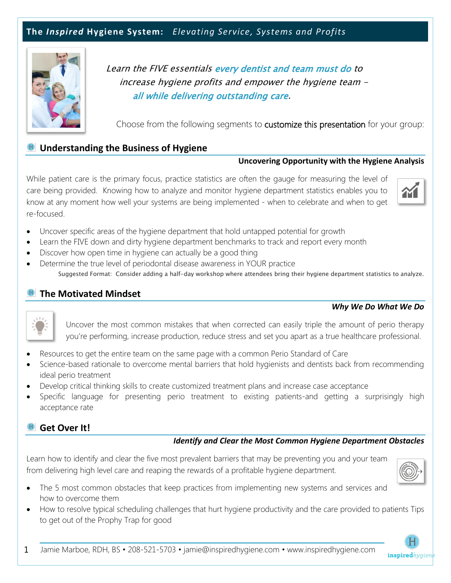## **The** *Inspired* **Hygiene System:** *Elevating Service, Systems and Profits*



Learn the FIVE essentials every dentist and team must do to increase hygiene profits and empower the hygiene team all while delivering outstanding care.

Choose from the following segments to customize this presentation for your group:

## **Understanding the Business of Hygiene**

#### **Uncovering Opportunity with the Hygiene Analysis**

While patient care is the primary focus, practice statistics are often the gauge for measuring the level of care being provided. Knowing how to analyze and monitor hygiene department statistics enables you to know at any moment how well your systems are being implemented - when to celebrate and when to get re-focused.

- Uncover specific areas of the hygiene department that hold untapped potential for growth
- Learn the FIVE down and dirty hygiene department benchmarks to track and report every month
- Discover how open time in hygiene can actually be a good thing
- Determine the true level of periodontal disease awareness in YOUR practice Suggested Format: Consider adding a half-day workshop where attendees bring their hygiene department statistics to analyze.

#### **The Motivated Mindset**

#### *Why We Do What We Do*



Uncover the most common mistakes that when corrected can easily triple the amount of perio therapy you're performing, increase production, reduce stress and set you apart as a true healthcare professional.

- Resources to get the entire team on the same page with a common Perio Standard of Care
- Science-based rationale to overcome mental barriers that hold hygienists and dentists back from recommending ideal perio treatment
- Develop critical thinking skills to create customized treatment plans and increase case acceptance
- Specific language for presenting perio treatment to existing patients-and getting a surprisingly high acceptance rate

## **H** Get Over It!

#### *Identify and Clear the Most Common Hygiene Department Obstacles*

Learn how to identify and clear the five most prevalent barriers that may be preventing you and your team from delivering high level care and reaping the rewards of a profitable hygiene department.



- The 5 most common obstacles that keep practices from implementing new systems and services and how to overcome them
- How to resolve typical scheduling challenges that hurt hygiene productivity and the care provided to patients Tips to get out of the Prophy Trap for good